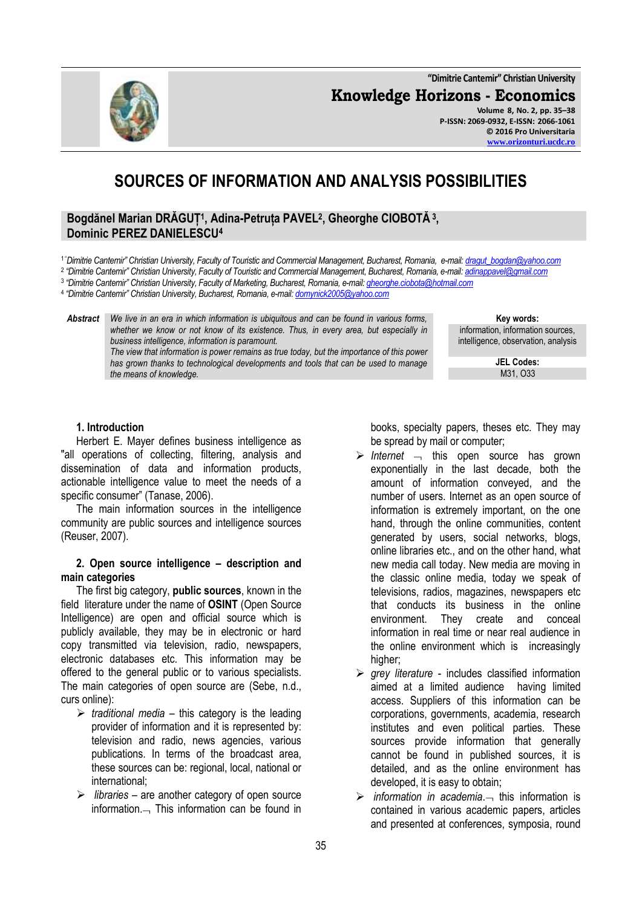**"Dimitrie Cantemir" Christian University Knowledge Horizons - Economics Volume 8, No. 2, pp. 35–38 P-ISSN: 2069-0932, E-ISSN: 2066-1061 © 2016 Pro Universitaria**



**SOURCES OF INFORMATION AND ANALYSIS POSSIBILITIES**

# **Bogdănel Marian DRĂGUȚ<sup>1</sup> , Adina-Petruța PAVEL<sup>2</sup> , Gheorghe CIOBOTĂ <sup>3</sup> , Dominic PEREZ DANIELESCU<sup>4</sup>**

- <sup>1</sup>"*Dimitrie Cantemir" Christian University, Faculty of Touristic and Commercial Management, Bucharest, Romania, e-mail[: dragut\\_bogdan@yahoo.com](mailto:dragut_bogdan@yahoo.com)*
- 2 *"Dimitrie Cantemir" Christian University, Faculty of Touristic and Commercial Management, Bucharest, Romania, e-mail[: adinappavel@gmail.com](mailto:adinappavel@gmail.com)*
- 3 *"Dimitrie Cantemir" Christian University, Faculty of Marketing, Bucharest, Romania, e-mail[: gheorghe.ciobota@hotmail.com](mailto:gheorghe.ciobota@hotmail.com)*

4 *"Dimitrie Cantemir" Christian University, Bucharest, Romania, e-mail[: domynick2005@yahoo.com](mailto:domynick2005@yahoo.com)*

*Abstract We live in an era in which information is ubiquitous and can be found in various forms,*  whether we know or not know of its existence. Thus, in every area, but especially in *business intelligence, information is paramount. The view that information is power remains as true today, but the importance of this power* 

*has grown thanks to technological developments and tools that can be used to manage the means of knowledge.*

**Key words:** information, information sources, intelligence, observation, analysis

**[www.orizonturi.ucdc.ro](http://www.orizonturi.ucdc.ro/)**

**JEL Codes:** M31, O33

### **1. Introduction**

Herbert E. Mayer defines business intelligence as "all operations of collecting, filtering, analysis and dissemination of data and information products, actionable intelligence value to meet the needs of a specific consumer" (Tanase, 2006).

The main information sources in the intelligence community are public sources and intelligence sources (Reuser, 2007).

#### **2. Open source intelligence – description and main categories**

The first big category, **public sources**, known in the field literature under the name of **OSINT** (Open Source Intelligence) are open and official source which is publicly available, they may be in electronic or hard copy transmitted via television, radio, newspapers, electronic databases etc. This information may be offered to the general public or to various specialists. The main categories of open source are (Sebe, n.d., curs online):

- $\triangleright$  traditional media this category is the leading provider of information and it is represented by: television and radio, news agencies, various publications. In terms of the broadcast area, these sources can be: regional, local, national or international;
- *libraries* are another category of open source information. $-$  This information can be found in

books, specialty papers, theses etc. They may be spread by mail or computer;

- $\triangleright$  Internet  $\lnot$  this open source has grown exponentially in the last decade, both the amount of information conveyed, and the number of users. Internet as an open source of information is extremely important, on the one hand, through the online communities, content generated by users, social networks, blogs, online libraries etc., and on the other hand, what new media call today. New media are moving in the classic online media, today we speak of televisions, radios, magazines, newspapers etc that conducts its business in the online environment. They create and conceal information in real time or near real audience in the online environment which is increasingly higher;
- $\triangleright$  grey literature includes classified information aimed at a limited audience having limited access. Suppliers of this information can be corporations, governments, academia, research institutes and even political parties. These sources provide information that generally cannot be found in published sources, it is detailed, and as the online environment has developed, it is easy to obtain;
- $\triangleright$  *information in academia* $\rightarrow$  this information is contained in various academic papers, articles and presented at conferences, symposia, round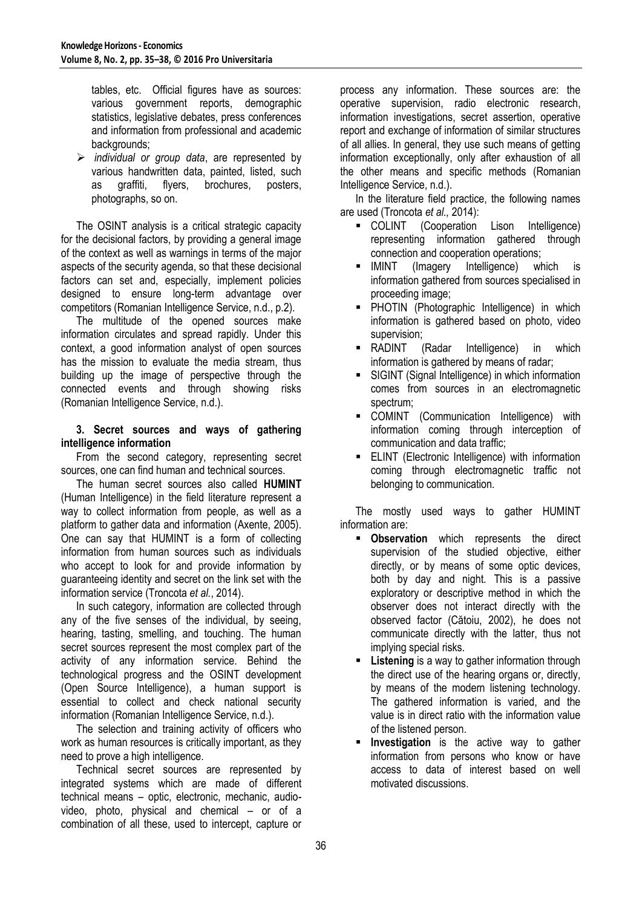tables, etc. Official figures have as sources: various government reports, demographic statistics, legislative debates, press conferences and information from professional and academic backgrounds;

 *individual or group data*, are represented by various handwritten data, painted, listed, such as graffiti, flyers, brochures, posters, photographs, so on.

The OSINT analysis is a critical strategic capacity for the decisional factors, by providing a general image of the context as well as warnings in terms of the major aspects of the security agenda, so that these decisional factors can set and, especially, implement policies designed to ensure long-term advantage over competitors (Romanian Intelligence Service, n.d., p.2).

The multitude of the opened sources make information circulates and spread rapidly. Under this context, a good information analyst of open sources has the mission to evaluate the media stream, thus building up the image of perspective through the connected events and through showing risks (Romanian Intelligence Service, n.d.).

# **3. Secret sources and ways of gathering intelligence information**

From the second category, representing secret sources, one can find human and technical sources.

The human secret sources also called **HUMINT** (Human Intelligence) in the field literature represent a way to collect information from people, as well as a platform to gather data and information (Axente, 2005). One can say that HUMINT is a form of collecting information from human sources such as individuals who accept to look for and provide information by guaranteeing identity and secret on the link set with the information service (Troncota *et al.*, 2014).

In such category, information are collected through any of the five senses of the individual, by seeing, hearing, tasting, smelling, and touching. The human secret sources represent the most complex part of the activity of any information service. Behind the technological progress and the OSINT development (Open Source Intelligence), a human support is essential to collect and check national security information (Romanian Intelligence Service, n.d.).

The selection and training activity of officers who work as human resources is critically important, as they need to prove a high intelligence.

Technical secret sources are represented by integrated systems which are made of different technical means – optic, electronic, mechanic, audiovideo, photo, physical and chemical – or of a combination of all these, used to intercept, capture or

process any information. These sources are: the operative supervision, radio electronic research, information investigations, secret assertion, operative report and exchange of information of similar structures of all allies. In general, they use such means of getting information exceptionally, only after exhaustion of all the other means and specific methods (Romanian Intelligence Service, n.d.).

In the literature field practice, the following names are used (Troncota *et al.,* 2014):

- COLINT (Cooperation Lison Intelligence) representing information gathered through connection and cooperation operations;
- IMINT (Imagery Intelligence) which is information gathered from sources specialised in proceeding image;
- **PHOTIN** (Photographic Intelligence) in which information is gathered based on photo, video supervision;
- RADINT (Radar Intelligence) in which information is gathered by means of radar;
- SIGINT (Signal Intelligence) in which information comes from sources in an electromagnetic spectrum;
- COMINT (Communication Intelligence) with information coming through interception of communication and data traffic;
- ELINT (Electronic Intelligence) with information coming through electromagnetic traffic not belonging to communication.

The mostly used ways to gather HUMINT information are:

- **-** Observation which represents the direct supervision of the studied objective, either directly, or by means of some optic devices, both by day and night. This is a passive exploratory or descriptive method in which the observer does not interact directly with the observed factor (Cătoiu, 2002), he does not communicate directly with the latter, thus not implying special risks.
- **Listening** is a way to gather information through the direct use of the hearing organs or, directly, by means of the modern listening technology. The gathered information is varied, and the value is in direct ratio with the information value of the listened person.
- **Investigation** is the active way to gather information from persons who know or have access to data of interest based on well motivated discussions.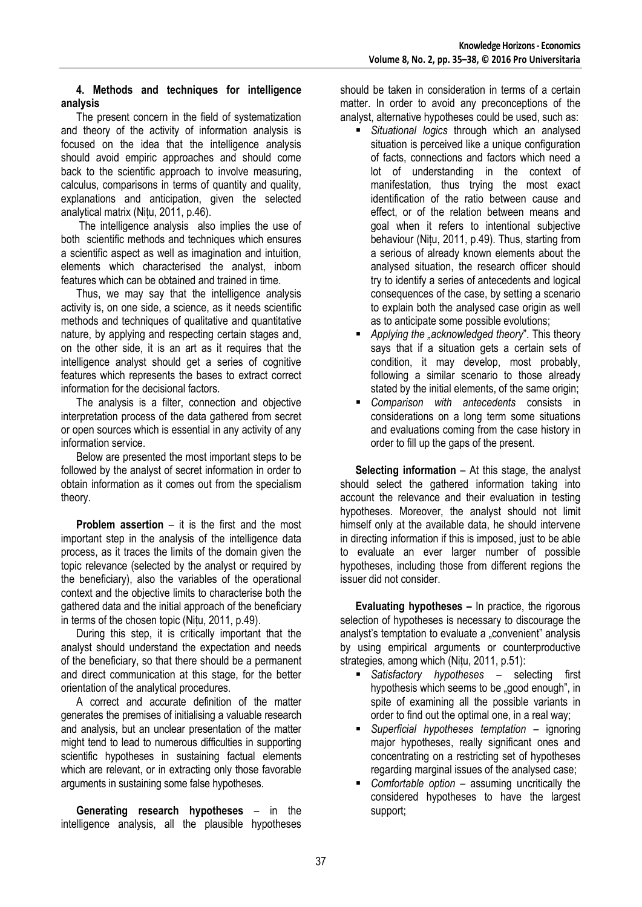### **4. Methods and techniques for intelligence analysis**

The present concern in the field of systematization and theory of the activity of information analysis is focused on the idea that the intelligence analysis should avoid empiric approaches and should come back to the scientific approach to involve measuring, calculus, comparisons in terms of quantity and quality, explanations and anticipation, given the selected analytical matrix (Nițu, 2011, p.46).

The intelligence analysis also implies the use of both scientific methods and techniques which ensures a scientific aspect as well as imagination and intuition, elements which characterised the analyst, inborn features which can be obtained and trained in time.

Thus, we may say that the intelligence analysis activity is, on one side, a science, as it needs scientific methods and techniques of qualitative and quantitative nature, by applying and respecting certain stages and, on the other side, it is an art as it requires that the intelligence analyst should get a series of cognitive features which represents the bases to extract correct information for the decisional factors.

The analysis is a filter, connection and objective interpretation process of the data gathered from secret or open sources which is essential in any activity of any information service.

Below are presented the most important steps to be followed by the analyst of secret information in order to obtain information as it comes out from the specialism theory.

**Problem assertion** – it is the first and the most important step in the analysis of the intelligence data process, as it traces the limits of the domain given the topic relevance (selected by the analyst or required by the beneficiary), also the variables of the operational context and the objective limits to characterise both the gathered data and the initial approach of the beneficiary in terms of the chosen topic (Nițu, 2011, p.49).

During this step, it is critically important that the analyst should understand the expectation and needs of the beneficiary, so that there should be a permanent and direct communication at this stage, for the better orientation of the analytical procedures.

A correct and accurate definition of the matter generates the premises of initialising a valuable research and analysis, but an unclear presentation of the matter might tend to lead to numerous difficulties in supporting scientific hypotheses in sustaining factual elements which are relevant, or in extracting only those favorable arguments in sustaining some false hypotheses.

**Generating research hypotheses** – in the intelligence analysis, all the plausible hypotheses should be taken in consideration in terms of a certain matter. In order to avoid any preconceptions of the analyst, alternative hypotheses could be used, such as:

- *Situational logics* through which an analysed situation is perceived like a unique configuration of facts, connections and factors which need a lot of understanding in the context of manifestation, thus trying the most exact identification of the ratio between cause and effect, or of the relation between means and goal when it refers to intentional subjective behaviour (Nițu, 2011, p.49). Thus, starting from a serious of already known elements about the analysed situation, the research officer should try to identify a series of antecedents and logical consequences of the case, by setting a scenario to explain both the analysed case origin as well as to anticipate some possible evolutions;
- *Applying the "acknowledged theory*". This theory says that if a situation gets a certain sets of condition, it may develop, most probably, following a similar scenario to those already stated by the initial elements, of the same origin;
- *Comparison with antecedents* consists in considerations on a long term some situations and evaluations coming from the case history in order to fill up the gaps of the present.

**Selecting information** – At this stage, the analyst should select the gathered information taking into account the relevance and their evaluation in testing hypotheses. Moreover, the analyst should not limit himself only at the available data, he should intervene in directing information if this is imposed, just to be able to evaluate an ever larger number of possible hypotheses, including those from different regions the issuer did not consider.

**Evaluating hypotheses –** In practice, the rigorous selection of hypotheses is necessary to discourage the analyst's temptation to evaluate a "convenient" analysis by using empirical arguments or counterproductive strategies, among which (Nițu, 2011, p.51):

- *Satisfactory hypotheses* selecting first hypothesis which seems to be "good enough", in spite of examining all the possible variants in order to find out the optimal one, in a real way;
- *Superficial hypotheses temptation* ignoring major hypotheses, really significant ones and concentrating on a restricting set of hypotheses regarding marginal issues of the analysed case;
- *Comfortable option* assuming uncritically the considered hypotheses to have the largest support;